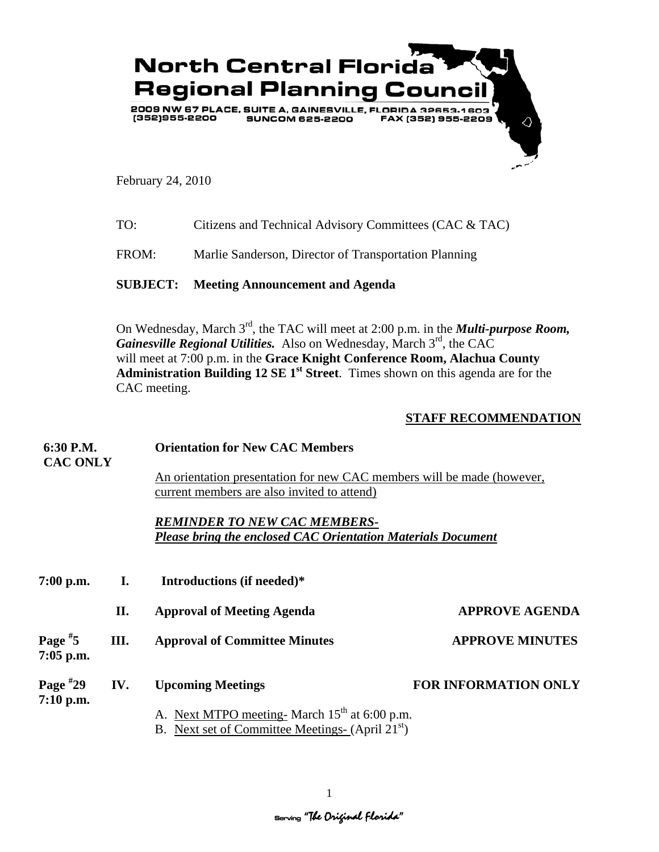

February 24, 2010

| TO: | Citizens and Technical Advisory Committees (CAC & TAC) |  |
|-----|--------------------------------------------------------|--|
|     |                                                        |  |

FROM: Marlie Sanderson, Director of Transportation Planning

**SUBJECT: Meeting Announcement and Agenda** 

On Wednesday, March 3<sup>rd</sup>, the TAC will meet at 2:00 p.m. in the *Multi-purpose Room*, *Gainesville Regional Utilities.* Also on Wednesday, March 3rd, the CAC will meet at 7:00 p.m. in the **Grace Knight Conference Room, Alachua County**  Administration Building 12 SE 1<sup>st</sup> Street. Times shown on this agenda are for the CAC meeting.

## **STAFF RECOMMENDATION**

| 6:30 P.M.                        |      | <b>Orientation for New CAC Members</b>                                                                                    |                             |  |
|----------------------------------|------|---------------------------------------------------------------------------------------------------------------------------|-----------------------------|--|
| <b>CAC ONLY</b>                  |      | An orientation presentation for new CAC members will be made (however,<br>current members are also invited to attend)     |                             |  |
|                                  |      | <b>REMINDER TO NEW CAC MEMBERS-</b><br>Please bring the enclosed CAC Orientation Materials Document                       |                             |  |
| $7:00$ p.m.                      | I.   | Introductions (if needed)*                                                                                                |                             |  |
|                                  | П.   | <b>Approval of Meeting Agenda</b>                                                                                         | <b>APPROVE AGENDA</b>       |  |
| Page <sup>#</sup> 5<br>7:05 p.m. | III. | <b>Approval of Committee Minutes</b>                                                                                      | <b>APPROVE MINUTES</b>      |  |
| Page #29<br>7:10 p.m.            | IV.  | <b>Upcoming Meetings</b>                                                                                                  | <b>FOR INFORMATION ONLY</b> |  |
|                                  |      | A. Next MTPO meeting- March 15 <sup>th</sup> at 6:00 p.m.<br>B. Next set of Committee Meetings- (April 21 <sup>st</sup> ) |                             |  |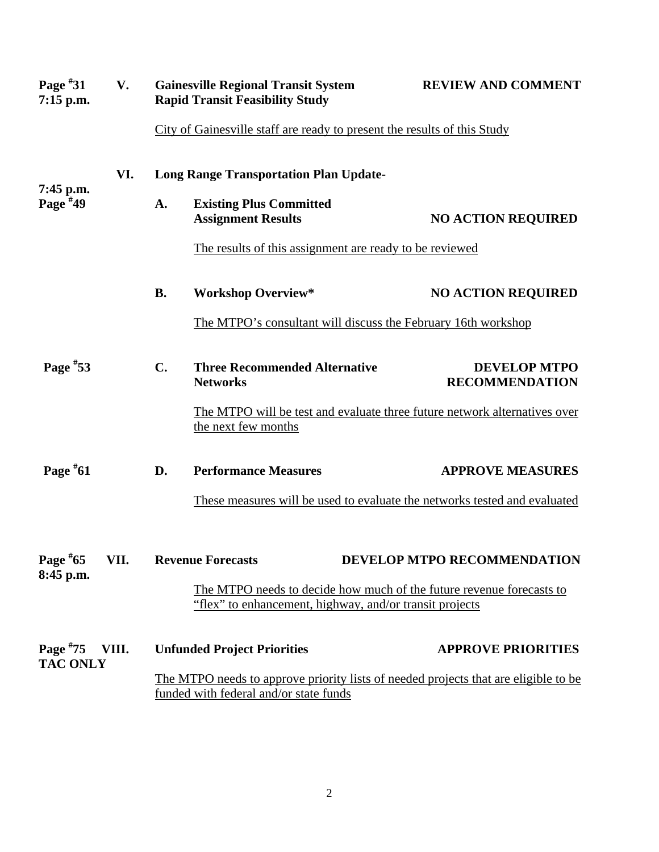| Page $*31$<br>$7:15$ p.m.     | V.    | <b>Gainesville Regional Transit System</b><br><b>REVIEW AND COMMENT</b><br><b>Rapid Transit Feasibility Study</b>               |                                                                                                                               |                                              |  |
|-------------------------------|-------|---------------------------------------------------------------------------------------------------------------------------------|-------------------------------------------------------------------------------------------------------------------------------|----------------------------------------------|--|
|                               |       |                                                                                                                                 | City of Gainesville staff are ready to present the results of this Study                                                      |                                              |  |
| 7:45 p.m.                     | VI.   | <b>Long Range Transportation Plan Update-</b>                                                                                   |                                                                                                                               |                                              |  |
| Page $*49$                    |       | A.                                                                                                                              | <b>Existing Plus Committed</b><br><b>Assignment Results</b>                                                                   | <b>NO ACTION REQUIRED</b>                    |  |
|                               |       |                                                                                                                                 | The results of this assignment are ready to be reviewed                                                                       |                                              |  |
|                               |       | <b>B.</b>                                                                                                                       | <b>Workshop Overview*</b>                                                                                                     | <b>NO ACTION REQUIRED</b>                    |  |
|                               |       | The MTPO's consultant will discuss the February 16th workshop                                                                   |                                                                                                                               |                                              |  |
| Page $*53$                    |       | $C_{\bullet}$                                                                                                                   | <b>Three Recommended Alternative</b><br><b>Networks</b>                                                                       | <b>DEVELOP MTPO</b><br><b>RECOMMENDATION</b> |  |
|                               |       |                                                                                                                                 | The MTPO will be test and evaluate three future network alternatives over<br>the next few months                              |                                              |  |
| Page $*61$                    |       | D.                                                                                                                              | <b>Performance Measures</b>                                                                                                   | <b>APPROVE MEASURES</b>                      |  |
|                               |       |                                                                                                                                 | These measures will be used to evaluate the networks tested and evaluated                                                     |                                              |  |
| 8:45 p.m.                     |       |                                                                                                                                 | Page #65 VII. Revenue Forecasts                                                                                               | DEVELOP MTPO RECOMMENDATION                  |  |
|                               |       | The MTPO needs to decide how much of the future revenue forecasts to<br>"flex" to enhancement, highway, and/or transit projects |                                                                                                                               |                                              |  |
| Page $*75$<br><b>TAC ONLY</b> | VIII. |                                                                                                                                 | <b>Unfunded Project Priorities</b>                                                                                            | <b>APPROVE PRIORITIES</b>                    |  |
|                               |       |                                                                                                                                 | The MTPO needs to approve priority lists of needed projects that are eligible to be<br>funded with federal and/or state funds |                                              |  |